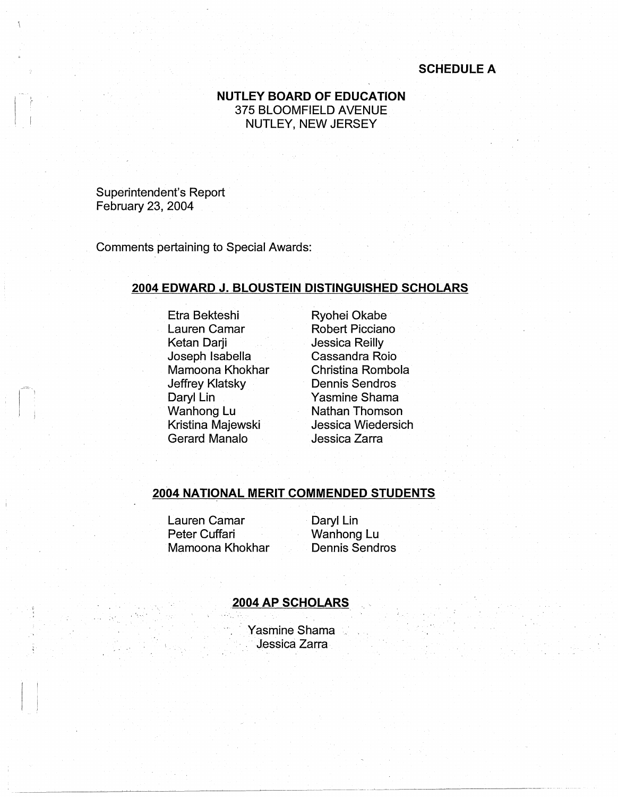# **SCHEDULE A**

## **NUTLEY BOARD OF EDUCATION**  375 BLOOMFIELD AVENUE NUTLEY, NEW JERSEY

Superintendent's Report February 23, 2004

Comments pertaining to Special Awards:

### **2004 EDWARD J. BLOUSTEIN DISTINGUISHED SCHOLARS**

Etra Bekteshi Lauren Camar Ketan Darji Joseph Isabella Mamoona Khokhar Jeffrey Klatsky Daryl Lin Wanhong Lu Kristina Majewski Gerard Manalo

Ryohei Okabe Robert Picciano Jessica Reilly Cassandra Roio Christina Rombola Dennis Sendros Yasmine Shama Nathan Thomson Jessica Wiedersich Jessica Zarra

### **2004 NATIONAL MERIT COMMENDED STUDENTS**

Lauren Camar Peter Cuffari Mamoona Khokhar Daryl Lin Wanhong Lu Dennis Sendros

### **.2004 AP SCHOLARS**

Yasmine Shama Jessica Zarra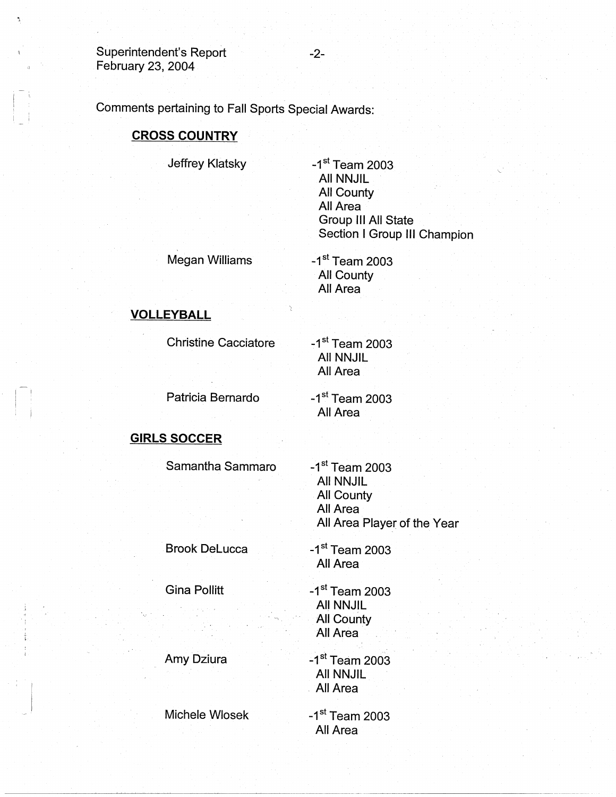Comments pertaining to Fall Sports Special Awards:

## **CROSS COUNTRY**

Jeffrey Klatsky

 $-1$ <sup>st</sup> Team 2003 All NNJIL All County All Area Group Ill All State Section I Group **111** Champion

Megan Williams

-1st Team 2003 All County All Area

# **VOLLEYBALL**

Christine Cacciatore

Patricia Bernardo

 $-1$ <sup>st</sup> Team 2003 All NNJIL All Area

 $-1<sup>st</sup>$  Team 2003 All Area

# **GIRLS SOCCER**

Samantha Sammaro

 $-1<sup>st</sup>$  Team 2003 All NNJIL All County All Area All Area Player of the Year

Brook Delucca

Gina Pollitt

 $-1$ <sup>st</sup> Team 2003 All Area

 $-1$ <sup>st</sup> Team 2003 All NNJIL All County All Area

Amy Dziura

Michele Wlosek

 $-1$ <sup>st</sup> Team 2003 All NNJIL . All Area

 $-1$ <sup>st</sup> Team 2003 All Area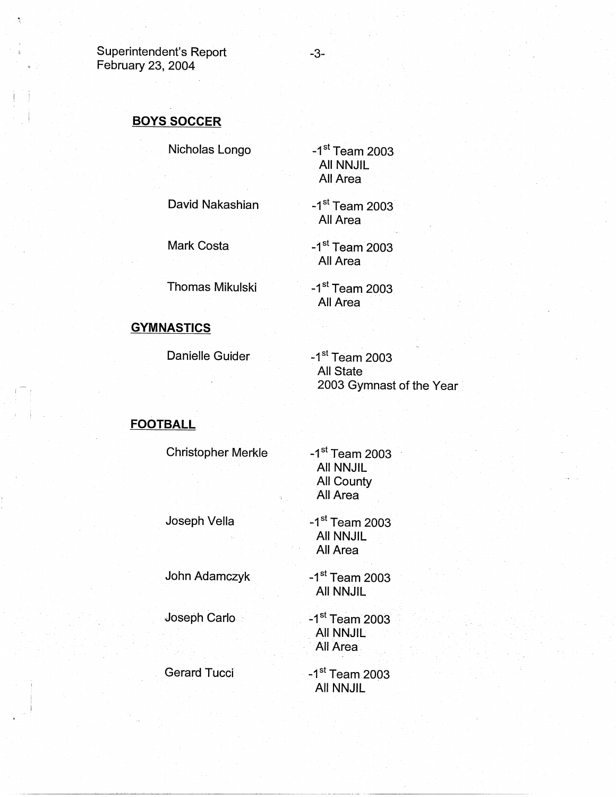# **BOYS SOCCER**

Nicholas Longo

 $-1$ <sup>st</sup> Team 2003 All NNJIL All Area

David Nakashian

Mark Costa

All Area -1st Team 2003

 $-1$ <sup>st</sup> Team 2003

All Area

Thomas Mikulski

 $-1$ <sup>st</sup> Team 2003 All Area

# **GYMNASTICS**

Danielle Guider

 $-1$ <sup>st</sup> Team 2003 All State 2003 Gymnast of the Year •

# **FOOTBALL**

i !

 $\cdot$   $\cdot$   $\cdot$ 

Christopher Merkle Joseph Vella John Adamczyk ,Joseph Carlo · Gerard Tucci  $-1$ <sup>st</sup> Team 2003 All NNJIL All County All Area  $-1$ <sup>st</sup> Team 2003 AU NNJIL All Area  $-1$ <sup>st</sup> Team 2003 All NNJIL  $-1$ <sup>st</sup> Team 2003 All NNJIL All Area  $-1$ <sup>st</sup> Team 2003 All NNJIL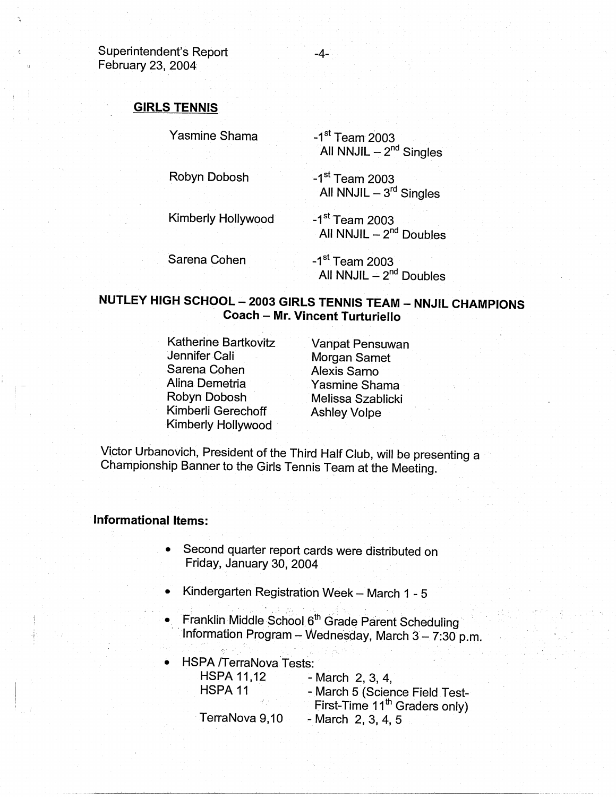### **GIRLS TENNIS**

| Yasmine Shama |  | $-1s$ |
|---------------|--|-------|
|               |  |       |

Robyn Dobosh

 $^{\rm st}$  Team 2003 All NNJIL  $-2<sup>nd</sup>$  Singles

 $-1$ <sup>st</sup> Team 2003 All NNJIL  $-3^{rd}$  Singles

Kimberly Hollywood

Sarena Cohen All NNJIL  $-2<sup>nd</sup>$  Doubles

-4-

-1<sup>st</sup> Team 2003 All NNJIL  $-2<sup>nd</sup>$  Doubles

-1<sup>st</sup> Team 2003

# **NUTLEY HIGH SCHOOL - 2003 GIRLS TENNIS TEAM - NNJIL CHAMPIONS Coach** - **Mr. Vincent Turturiello**

Katherine Bartkovitz Jennifer Cali Sarena Cohen Alina Demetria Robyn Dobosh Kimberli Gerechoff Kimberly Hollywood ·

Vanpat Pensuwan Morgan Samet Alexis Sarno Yasmine Shama Melissa Szablicki Ashley Volpe

Victor Urbanovich, President of the Third Half Club, will be presenting a Championship Banner to the Girls Tennis Team at the Meeting.

#### **Informational Items:**

- Second quarter report cards were distributed on Friday, January 30, 2004
- Kindergarten Registration Week March 1 5
- Franklin Middle School 6<sup>th</sup> Grade Parent Scheduling Information Program - Wednesday, March  $3 - 7:30$  p.m.
- HSPA /TerraNova Tests: HSPA 11,12 - March 2, 3, 4, HSPA 11 - March 5 (Science Field Test-First-Time 11<sup>th</sup> Graders only) TerraNova 9,10 - March 2, 3, 4, 5